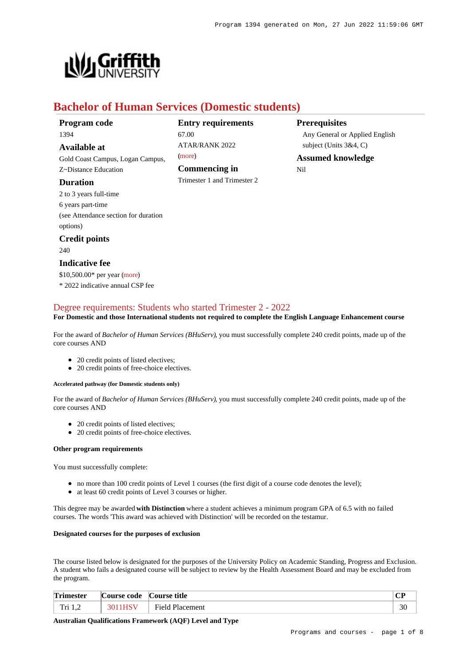

# **Bachelor of Human Services (Domestic students)**

| Program code |  |
|--------------|--|
| 1394         |  |

**Available at**

Gold Coast Campus, Logan Campus, Z~Distance Education

### **Duration**

2 to 3 years full-time 6 years part-time (see Attendance section for duration options)

## **Credit points**

240

## **Indicative fee**

\$10,500.00\* per year [\(more](https://www148.griffith.edu.au/programs-courses/Program/1394/Overview/Domestic#fees))

\* 2022 indicative annual CSP fee

## **Entry requirements** 67.00 ATAR/RANK 2022

[\(more](https://www148.griffith.edu.au/programs-courses/Program/1394/HowToApply/Domestic#tac-entry-requirements))

**Commencing in** Trimester 1 and Trimester 2

# **Prerequisites**

Any General or Applied English subject (Units 3&4, C)

**Assumed knowledge** Nil

## [Degree requirements: Students who started Trimester 2 - 2022](https://www148.griffith.edu.au/programs-courses/Program/1394/Courses/Domestic#degree-requirements)

### **For Domestic and those International students not required to complete the English Language Enhancement course**

For the award of *Bachelor of Human Services (BHuServ)*, you must successfully complete 240 credit points, made up of the core courses AND

- 20 credit points of listed electives;
- 20 credit points of free-choice electives.

### **Accelerated pathway (for Domestic students only)**

For the award of *Bachelor of Human Services (BHuServ)*, you must successfully complete 240 credit points, made up of the core courses AND

- 20 credit points of listed electives:
- 20 credit points of free-choice electives.

#### **Other program requirements**

You must successfully complete:

- no more than 100 credit points of Level 1 courses (the first digit of a course code denotes the level);
- at least 60 credit points of Level 3 courses or higher.

This degree may be awarded **with Distinction** where a student achieves a minimum program GPA of 6.5 with no failed courses. The words 'This award was achieved with Distinction' will be recorded on the testamur.

#### **Designated courses for the purposes of exclusion**

The course listed below is designated for the purposes of the University Policy on Academic Standing, Progress and Exclusion. A student who fails a designated course will be subject to review by the Health Assessment Board and may be excluded from the program.

| <b>Trimester</b>         | $\sim$<br>.Course code | $\sim$<br>Course title    | $\mathbf{C}\mathbf{D}$<br>u |  |
|--------------------------|------------------------|---------------------------|-----------------------------|--|
| $T_{\rm H}$ .<br>111 1,4 | 301                    | Field<br><b>Placement</b> | 30                          |  |

**Australian Qualifications Framework (AQF) Level and Type**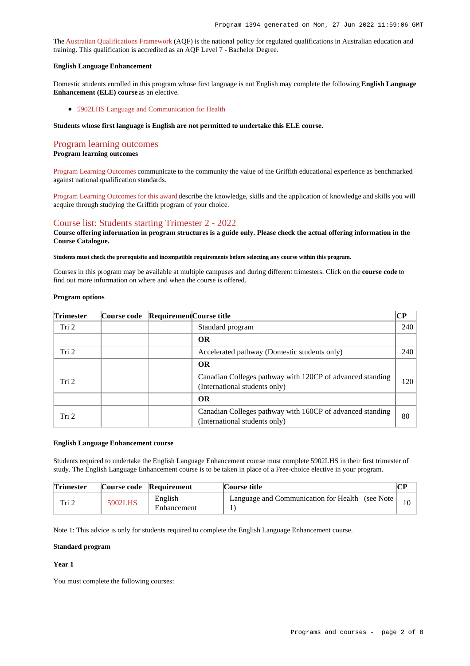The [Australian Qualifications Framework](http://www.aqf.edu.au/) (AQF) is the national policy for regulated qualifications in Australian education and training. This qualification is accredited as an AQF Level 7 - Bachelor Degree.

#### **English Language Enhancement**

Domestic students enrolled in this program whose first language is not English may complete the following **English Language Enhancement (ELE) course** as an elective.

[5902LHS Language and Communication for Health](https://www148.griffith.edu.au/Course/5902LHS)

#### **Students whose first language is English are not permitted to undertake this ELE course.**

#### [Program learning outcomes](https://www148.griffith.edu.au/programs-courses/Program/1394/Courses/Domestic#programLearningOutcomes)

#### **Program learning outcomes**

[Program Learning Outcomes](https://www.griffith.edu.au/__data/assets/pdf_file/0017/134522/PLO-general-advice.pdf) communicate to the community the value of the Griffith educational experience as benchmarked against national qualification standards.

[Program Learning Outcomes for this award](https://www.griffith.edu.au/__data/assets/pdf_file/0030/295626/BHuman-Service-PLO-L7.pdf) describe the knowledge, skills and the application of knowledge and skills you will acquire through studying the Griffith program of your choice.

## [Course list: Students starting Trimester 2 - 2022](https://www148.griffith.edu.au/programs-courses/Program/1394/Courses/Domestic#course-list-content)

**Course offering information in program structures is a guide only. Please check the actual offering information in the Course Catalogue.**

**Students must check the prerequisite and incompatible requirements before selecting any course within this program.**

Courses in this program may be available at multiple campuses and during different trimesters. Click on the **course code** to find out more information on where and when the course is offered.

#### **Program options**

| <b>Trimester</b> | Course code | Requirement Course title |                                                                                            | CР  |
|------------------|-------------|--------------------------|--------------------------------------------------------------------------------------------|-----|
| Tri <sub>2</sub> |             |                          | Standard program                                                                           | 240 |
|                  |             |                          | <b>OR</b>                                                                                  |     |
| Tri <sub>2</sub> |             |                          | Accelerated pathway (Domestic students only)                                               | 240 |
|                  |             |                          | <b>OR</b>                                                                                  |     |
| Tri <sub>2</sub> |             |                          | Canadian Colleges pathway with 120CP of advanced standing<br>(International students only) | 120 |
|                  |             |                          | <b>OR</b>                                                                                  |     |
| Tri <sub>2</sub> |             |                          | Canadian Colleges pathway with 160CP of advanced standing<br>(International students only) | 80  |

#### **English Language Enhancement course**

Students required to undertake the English Language Enhancement course must complete 5902LHS in their first trimester of study. The English Language Enhancement course is to be taken in place of a Free-choice elective in your program.

| <b>Trimester</b> |         | Course code Requirement | Course title                                     |  |
|------------------|---------|-------------------------|--------------------------------------------------|--|
| Tri 2            | 5902LHS | English<br>Enhancement  | Language and Communication for Health (see Note) |  |

Note 1: This advice is only for students required to complete the English Language Enhancement course.

#### **Standard program**

#### **Year 1**

You must complete the following courses: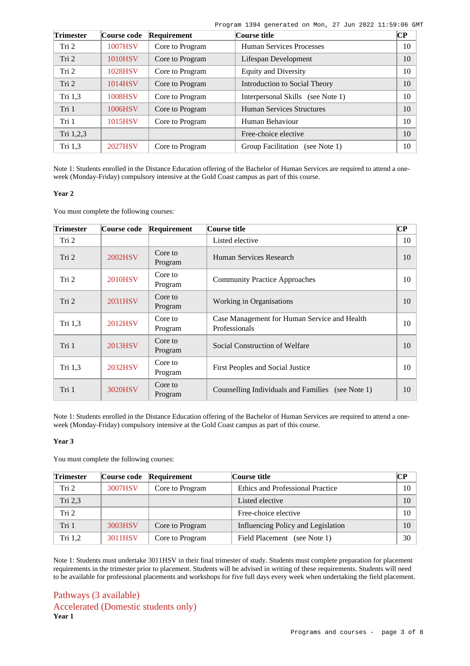| Program 1394 generated on Mon, 27 Jun 2022 11:59:06 GMT |  |  |  |  |
|---------------------------------------------------------|--|--|--|--|
|                                                         |  |  |  |  |

| <b>Trimester</b> | Course code    | Requirement     | Course title                       | $\bf CP$ |
|------------------|----------------|-----------------|------------------------------------|----------|
| Tri 2            | 1007HSV        | Core to Program | <b>Human Services Processes</b>    | 10       |
| Tri 2            | <b>1010HSV</b> | Core to Program | Lifespan Development               | 10       |
| Tri 2            | 1028HSV        | Core to Program | <b>Equity and Diversity</b>        | 10       |
| Tri 2            | 1014HSV        | Core to Program | Introduction to Social Theory      | 10       |
| Tri $1,3$        | 1008HSV        | Core to Program | Interpersonal Skills (see Note 1)  | 10       |
| Tri 1            | 1006HSV        | Core to Program | <b>Human Services Structures</b>   | 10       |
| Tri 1            | 1015HSV        | Core to Program | Human Behaviour                    | 10       |
| Tri 1,2,3        |                |                 | Free-choice elective               | 10       |
| Tri $1,3$        | <b>2027HSV</b> | Core to Program | Group Facilitation<br>(see Note 1) | 10       |

Note 1: Students enrolled in the Distance Education offering of the Bachelor of Human Services are required to attend a oneweek (Monday-Friday) compulsory intensive at the Gold Coast campus as part of this course.

#### **Year 2**

You must complete the following courses:

| <b>Trimester</b> | <b>Course code</b> | Requirement        | Course title                                                  | $\bf CP$ |
|------------------|--------------------|--------------------|---------------------------------------------------------------|----------|
| Tri 2            |                    |                    | Listed elective                                               | 10       |
| Tri 2            | 2002HSV            | Core to<br>Program | Human Services Research                                       | 10       |
| Tri 2            | <b>2010HSV</b>     | Core to<br>Program | <b>Community Practice Approaches</b>                          | 10       |
| Tri 2            | 2031HSV            | Core to<br>Program | Working in Organisations                                      | 10       |
| Tri 1,3          | 2012HSV            | Core to<br>Program | Case Management for Human Service and Health<br>Professionals | 10       |
| Tri 1            | 2013HSV            | Core to<br>Program | Social Construction of Welfare                                | 10       |
| Tri $1,3$        | 2032HSV            | Core to<br>Program | First Peoples and Social Justice                              | 10       |
| Tri 1            | 3020HSV            | Core to<br>Program | Counselling Individuals and Families (see Note 1)             | 10       |

Note 1: Students enrolled in the Distance Education offering of the Bachelor of Human Services are required to attend a oneweek (Monday-Friday) compulsory intensive at the Gold Coast campus as part of this course.

### **Year 3**

You must complete the following courses:

| <b>Trimester</b> | Course code | Requirement     | Course title                       | CР     |
|------------------|-------------|-----------------|------------------------------------|--------|
| Tri 2            | 3007HSV     | Core to Program | Ethics and Professional Practice   | $10-1$ |
| Tri $2,3$        |             |                 | Listed elective                    | 10     |
| Tri 2            |             |                 | Free-choice elective               | $10-1$ |
| Tri 1            | 3003HSV     | Core to Program | Influencing Policy and Legislation | 10     |
| Tri $1,2$        | 3011HSV     | Core to Program | Field Placement<br>(see Note 1)    | 30     |

Note 1: Students must undertake 3011HSV in their final trimester of study. Students must complete preparation for placement requirements in the trimester prior to placement. Students will be advised in writing of these requirements. Students will need to be available for professional placements and workshops for five full days every week when undertaking the field placement.

Pathways (3 available) Accelerated (Domestic students only) **Year 1**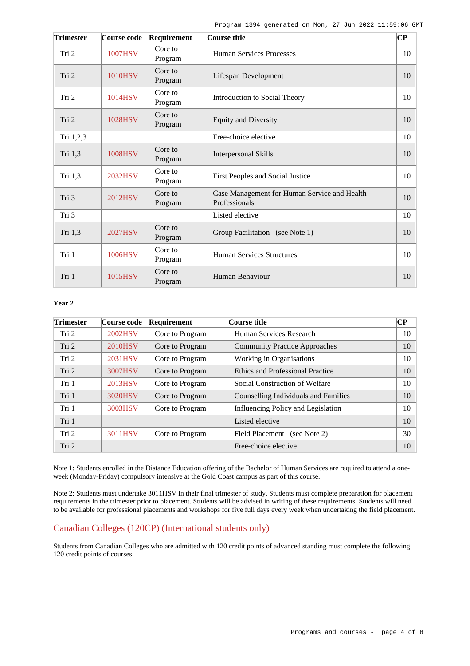| <b>Trimester</b> | Course code    | Requirement        | Course title                                                  | $\overline{\mathbf{C}\mathbf{P}}$ |
|------------------|----------------|--------------------|---------------------------------------------------------------|-----------------------------------|
| Tri 2            | <b>1007HSV</b> | Core to<br>Program | Human Services Processes                                      | 10                                |
| Tri 2            | <b>1010HSV</b> | Core to<br>Program | Lifespan Development                                          | 10                                |
| Tri 2            | 1014HSV        | Core to<br>Program | Introduction to Social Theory                                 | 10                                |
| Tri 2            | 1028HSV        | Core to<br>Program | <b>Equity and Diversity</b>                                   | 10                                |
| Tri 1,2,3        |                |                    | Free-choice elective                                          | 10                                |
| Tri 1,3          | 1008HSV        | Core to<br>Program | <b>Interpersonal Skills</b>                                   | 10                                |
| Tri 1,3          | 2032HSV        | Core to<br>Program | First Peoples and Social Justice                              | 10                                |
| Tri 3            | 2012HSV        | Core to<br>Program | Case Management for Human Service and Health<br>Professionals | 10                                |
| Tri 3            |                |                    | Listed elective                                               | 10                                |
| Tri 1,3          | <b>2027HSV</b> | Core to<br>Program | Group Facilitation (see Note 1)                               | 10                                |
| Tri 1            | 1006HSV        | Core to<br>Program | <b>Human Services Structures</b>                              | 10                                |
| Tri 1            | 1015HSV        | Core to<br>Program | Human Behaviour                                               | 10                                |

#### **Year 2**

| <b>Trimester</b> | Course code | Requirement     | Course title                            | CР |
|------------------|-------------|-----------------|-----------------------------------------|----|
| Tri 2            | 2002HSV     | Core to Program | Human Services Research                 | 10 |
| Tri 2            | 2010HSV     | Core to Program | <b>Community Practice Approaches</b>    | 10 |
| Tri 2            | 2031HSV     | Core to Program | Working in Organisations                | 10 |
| Tri 2            | 3007HSV     | Core to Program | <b>Ethics and Professional Practice</b> | 10 |
| Tri 1            | 2013HSV     | Core to Program | Social Construction of Welfare          | 10 |
| Tri 1            | 3020HSV     | Core to Program | Counselling Individuals and Families    | 10 |
| Tri 1            | 3003HSV     | Core to Program | Influencing Policy and Legislation      | 10 |
| Tri 1            |             |                 | Listed elective                         | 10 |
| Tri 2            | 3011HSV     | Core to Program | (see Note 2)<br>Field Placement         | 30 |
| Tri 2            |             |                 | Free-choice elective                    | 10 |

Note 1: Students enrolled in the Distance Education offering of the Bachelor of Human Services are required to attend a oneweek (Monday-Friday) compulsory intensive at the Gold Coast campus as part of this course.

Note 2: Students must undertake 3011HSV in their final trimester of study. Students must complete preparation for placement requirements in the trimester prior to placement. Students will be advised in writing of these requirements. Students will need to be available for professional placements and workshops for five full days every week when undertaking the field placement.

## Canadian Colleges (120CP) (International students only)

Students from Canadian Colleges who are admitted with 120 credit points of advanced standing must complete the following 120 credit points of courses: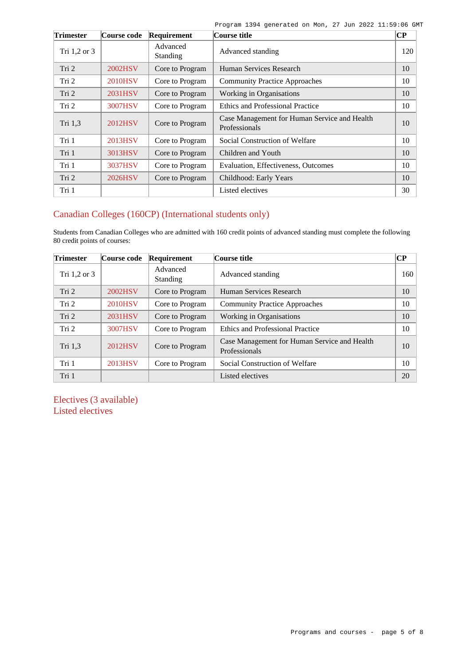Program 1394 generated on Mon, 27 Jun 2022 11:59:06 GMT

| Trimester    | Course code    | Requirement                 | Course title                                                  | $\bf CP$ |
|--------------|----------------|-----------------------------|---------------------------------------------------------------|----------|
| Tri 1,2 or 3 |                | Advanced<br><b>Standing</b> | Advanced standing                                             | 120      |
| Tri 2        | 2002HSV        | Core to Program             | Human Services Research                                       | 10       |
| Tri 2        | <b>2010HSV</b> | Core to Program             | <b>Community Practice Approaches</b>                          | 10       |
| Tri 2        | 2031HSV        | Core to Program             | Working in Organisations                                      | 10       |
| Tri 2        | 3007HSV        | Core to Program             | <b>Ethics and Professional Practice</b>                       | 10       |
| Tri 1,3      | 2012HSV        | Core to Program             | Case Management for Human Service and Health<br>Professionals | 10       |
| Tri 1        | 2013HSV        | Core to Program             | Social Construction of Welfare                                | 10       |
| Tri 1        | 3013HSV        | Core to Program             | Children and Youth                                            | 10       |
| Tri 1        | 3037HSV        | Core to Program             | Evaluation, Effectiveness, Outcomes                           | 10       |
| Tri 2        | 2026HSV        | Core to Program             | Childhood: Early Years                                        | 10       |
| Tri 1        |                |                             | Listed electives                                              | 30       |

## Canadian Colleges (160CP) (International students only)

Students from Canadian Colleges who are admitted with 160 credit points of advanced standing must complete the following 80 credit points of courses:

| <b>Trimester</b> | Course code | Requirement                 | Course title                                                  | $\bf CP$ |
|------------------|-------------|-----------------------------|---------------------------------------------------------------|----------|
| Tri 1,2 or 3     |             | Advanced<br><b>Standing</b> | Advanced standing                                             | 160      |
| Tri 2            | 2002HSV     | Core to Program             | Human Services Research                                       | 10       |
| Tri 2            | 2010HSV     | Core to Program             | <b>Community Practice Approaches</b>                          | 10       |
| Tri 2            | 2031HSV     | Core to Program             | Working in Organisations                                      | 10       |
| Tri 2            | 3007HSV     | Core to Program             | <b>Ethics and Professional Practice</b>                       | 10       |
| Tri 1,3          | 2012HSV     | Core to Program             | Case Management for Human Service and Health<br>Professionals | 10       |
| Tri 1            | 2013HSV     | Core to Program             | Social Construction of Welfare                                | 10       |
| Tri 1            |             |                             | Listed electives                                              | 20       |

Electives (3 available) Listed electives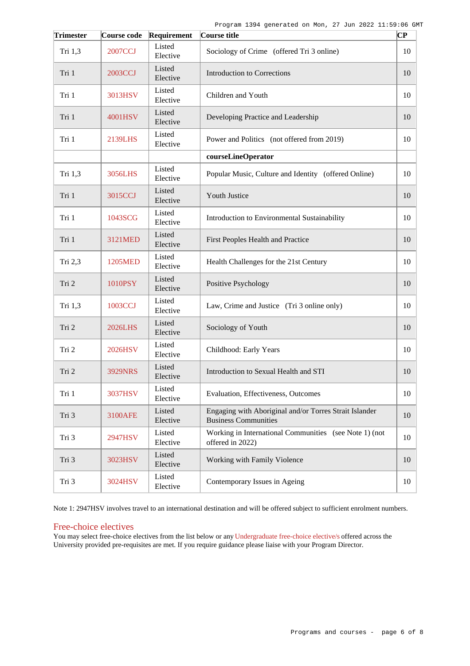| <b>Trimester</b> | Course code    | Requirement        | Course title                                                                          | $\mathbf C\mathbf P$ |
|------------------|----------------|--------------------|---------------------------------------------------------------------------------------|----------------------|
| Tri 1,3          | <b>2007CCJ</b> | Listed<br>Elective | Sociology of Crime (offered Tri 3 online)                                             | 10                   |
| Tri 1            | 2003CCJ        | Listed<br>Elective | <b>Introduction to Corrections</b>                                                    | 10                   |
| Tri 1            | 3013HSV        | Listed<br>Elective | Children and Youth                                                                    | 10                   |
| Tri 1            | 4001HSV        | Listed<br>Elective | Developing Practice and Leadership                                                    | 10                   |
| Tri 1            | 2139LHS        | Listed<br>Elective | Power and Politics (not offered from 2019)                                            | 10                   |
|                  |                |                    | courseLineOperator                                                                    |                      |
| Tri 1,3          | 3056LHS        | Listed<br>Elective | Popular Music, Culture and Identity (offered Online)                                  | 10                   |
| Tri 1            | 3015CCJ        | Listed<br>Elective | Youth Justice                                                                         | 10                   |
| Tri 1            | 1043SCG        | Listed<br>Elective | Introduction to Environmental Sustainability                                          | 10                   |
| Tri 1            | 3121MED        | Listed<br>Elective | First Peoples Health and Practice                                                     | 10                   |
| Tri 2,3          | 1205MED        | Listed<br>Elective | Health Challenges for the 21st Century                                                | 10                   |
| Tri 2            | 1010PSY        | Listed<br>Elective | Positive Psychology                                                                   | 10                   |
| Tri 1,3          | 1003CCJ        | Listed<br>Elective | Law, Crime and Justice (Tri 3 online only)                                            | 10                   |
| Tri 2            | <b>2026LHS</b> | Listed<br>Elective | Sociology of Youth                                                                    | 10                   |
| Tri 2            | 2026HSV        | Listed<br>Elective | Childhood: Early Years                                                                | 10                   |
| Tri 2            | <b>3929NRS</b> | Listed<br>Elective | Introduction to Sexual Health and STI                                                 | 10                   |
| Tri 1            | 3037HSV        | Listed<br>Elective | Evaluation, Effectiveness, Outcomes                                                   | 10                   |
| Tri 3            | 3100AFE        | Listed<br>Elective | Engaging with Aboriginal and/or Torres Strait Islander<br><b>Business Communities</b> | 10                   |
| Tri 3            | 2947HSV        | Listed<br>Elective | Working in International Communities (see Note 1) (not<br>offered in 2022)            | 10                   |
| Tri 3            | 3023HSV        | Listed<br>Elective | Working with Family Violence                                                          | 10                   |
| Tri 3            | 3024HSV        | Listed<br>Elective | Contemporary Issues in Ageing                                                         | 10                   |

Note 1: 2947HSV involves travel to an international destination and will be offered subject to sufficient enrolment numbers.

## Free-choice electives

You may select free-choice electives from the list below or any [Undergraduate free-choice elective/s](https://www148.griffith.edu.au/programs-courses/Search/Results?SearchRequestType=CourseCatalogue&AcademicCareerName=UGRD&IsFreeChoiceElective=True) offered across the University provided pre-requisites are met. If you require guidance please liaise with your Program Director.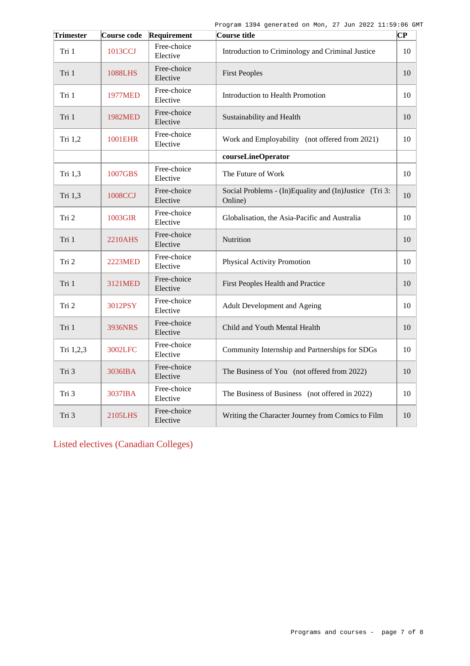| <b>Trimester</b> | Course code    | Requirement             | Course title                                                      | $\overline{\mathbf{C}\mathbf{P}}$ |
|------------------|----------------|-------------------------|-------------------------------------------------------------------|-----------------------------------|
| Tri 1            | 1013CCJ        | Free-choice<br>Elective | Introduction to Criminology and Criminal Justice                  | 10                                |
| Tri 1            | 1088LHS        | Free-choice<br>Elective | <b>First Peoples</b>                                              | 10                                |
| Tri 1            | <b>1977MED</b> | Free-choice<br>Elective | Introduction to Health Promotion                                  | 10                                |
| Tri 1            | 1982MED        | Free-choice<br>Elective | Sustainability and Health                                         | 10                                |
| Tri 1,2          | <b>1001EHR</b> | Free-choice<br>Elective | Work and Employability (not offered from 2021)                    | 10                                |
|                  |                |                         | courseLineOperator                                                |                                   |
| Tri 1,3          | 1007GBS        | Free-choice<br>Elective | The Future of Work                                                | 10                                |
| Tri 1,3          | 1008CCJ        | Free-choice<br>Elective | Social Problems - (In)Equality and (In)Justice (Tri 3:<br>Online) | 10                                |
| Tri 2            | 1003GIR        | Free-choice<br>Elective | Globalisation, the Asia-Pacific and Australia                     | 10                                |
| Tri 1            | 2210AHS        | Free-choice<br>Elective | Nutrition                                                         | 10                                |
| Tri 2            | 2223MED        | Free-choice<br>Elective | Physical Activity Promotion                                       | 10                                |
| Tri 1            | 3121MED        | Free-choice<br>Elective | First Peoples Health and Practice                                 | 10                                |
| Tri 2            | 3012PSY        | Free-choice<br>Elective | Adult Development and Ageing                                      | 10                                |
| Tri 1            | 3936NRS        | Free-choice<br>Elective | Child and Youth Mental Health                                     | 10                                |
| Tri 1,2,3        | 3002LFC        | Free-choice<br>Elective | Community Internship and Partnerships for SDGs                    | 10                                |
| Tri 3            | 3036IBA        | Free-choice<br>Elective | The Business of You (not offered from 2022)                       | 10                                |
| Tri 3            | 3037IBA        | Free-choice<br>Elective | The Business of Business (not offered in 2022)                    | 10                                |
| Tri 3            | 2105LHS        | Free-choice<br>Elective | Writing the Character Journey from Comics to Film                 | 10                                |

Listed electives (Canadian Colleges)